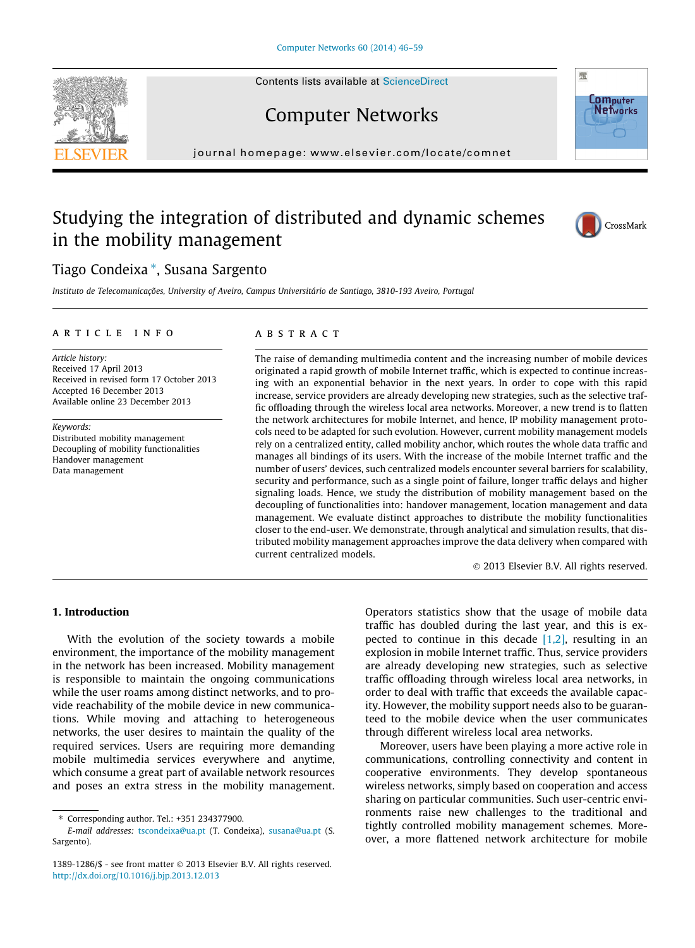Contents lists available at [ScienceDirect](http://www.sciencedirect.com/science/journal/13891286)





## Computer Networks

journal homepage: [www.elsevier.com/locate/comnet](http://www.elsevier.com/locate/comnet)

### Studying the integration of distributed and dynamic schemes in the mobility management



### Tiago Condeixa ⇑ , Susana Sargento

Instituto de Telecomunicações, University of Aveiro, Campus Universitário de Santiago, 3810-193 Aveiro, Portugal

#### article info

Article history: Received 17 April 2013 Received in revised form 17 October 2013 Accepted 16 December 2013 Available online 23 December 2013

Keywords: Distributed mobility management Decoupling of mobility functionalities Handover management Data management

#### **ABSTRACT**

The raise of demanding multimedia content and the increasing number of mobile devices originated a rapid growth of mobile Internet traffic, which is expected to continue increasing with an exponential behavior in the next years. In order to cope with this rapid increase, service providers are already developing new strategies, such as the selective traffic offloading through the wireless local area networks. Moreover, a new trend is to flatten the network architectures for mobile Internet, and hence, IP mobility management protocols need to be adapted for such evolution. However, current mobility management models rely on a centralized entity, called mobility anchor, which routes the whole data traffic and manages all bindings of its users. With the increase of the mobile Internet traffic and the number of users' devices, such centralized models encounter several barriers for scalability, security and performance, such as a single point of failure, longer traffic delays and higher signaling loads. Hence, we study the distribution of mobility management based on the decoupling of functionalities into: handover management, location management and data management. We evaluate distinct approaches to distribute the mobility functionalities closer to the end-user. We demonstrate, through analytical and simulation results, that distributed mobility management approaches improve the data delivery when compared with current centralized models.

- 2013 Elsevier B.V. All rights reserved.

#### 1. Introduction

With the evolution of the society towards a mobile environment, the importance of the mobility management in the network has been increased. Mobility management is responsible to maintain the ongoing communications while the user roams among distinct networks, and to provide reachability of the mobile device in new communications. While moving and attaching to heterogeneous networks, the user desires to maintain the quality of the required services. Users are requiring more demanding mobile multimedia services everywhere and anytime, which consume a great part of available network resources and poses an extra stress in the mobility management.

Operators statistics show that the usage of mobile data traffic has doubled during the last year, and this is expected to continue in this decade  $[1,2]$ , resulting in an explosion in mobile Internet traffic. Thus, service providers are already developing new strategies, such as selective traffic offloading through wireless local area networks, in order to deal with traffic that exceeds the available capacity. However, the mobility support needs also to be guaranteed to the mobile device when the user communicates through different wireless local area networks.

Moreover, users have been playing a more active role in communications, controlling connectivity and content in cooperative environments. They develop spontaneous wireless networks, simply based on cooperation and access sharing on particular communities. Such user-centric environments raise new challenges to the traditional and tightly controlled mobility management schemes. Moreover, a more flattened network architecture for mobile

<sup>⇑</sup> Corresponding author. Tel.: +351 234377900.

E-mail addresses: [tscondeixa@ua.pt](mailto:tscondeixa@ua.pt) (T. Condeixa), [susana@ua.pt](mailto:susana@ua.pt) (S. Sargento).

<sup>1389-1286/\$ -</sup> see front matter  $\odot$  2013 Elsevier B.V. All rights reserved. <http://dx.doi.org/10.1016/j.bjp.2013.12.013>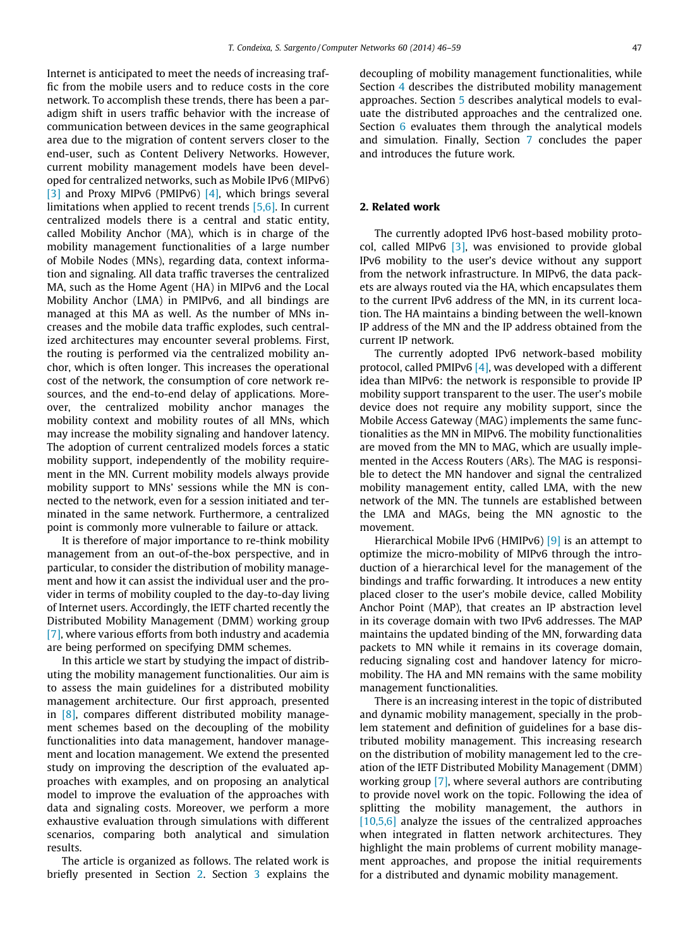Internet is anticipated to meet the needs of increasing traffic from the mobile users and to reduce costs in the core network. To accomplish these trends, there has been a paradigm shift in users traffic behavior with the increase of communication between devices in the same geographical area due to the migration of content servers closer to the end-user, such as Content Delivery Networks. However, current mobility management models have been developed for centralized networks, such as Mobile IPv6 (MIPv6) [\[3\]](#page--1-0) and Proxy MIPv6 (PMIPv6) [\[4\]](#page--1-0), which brings several limitations when applied to recent trends [\[5,6\].](#page--1-0) In current centralized models there is a central and static entity, called Mobility Anchor (MA), which is in charge of the mobility management functionalities of a large number of Mobile Nodes (MNs), regarding data, context information and signaling. All data traffic traverses the centralized MA, such as the Home Agent (HA) in MIPv6 and the Local Mobility Anchor (LMA) in PMIPv6, and all bindings are managed at this MA as well. As the number of MNs increases and the mobile data traffic explodes, such centralized architectures may encounter several problems. First, the routing is performed via the centralized mobility anchor, which is often longer. This increases the operational cost of the network, the consumption of core network resources, and the end-to-end delay of applications. Moreover, the centralized mobility anchor manages the mobility context and mobility routes of all MNs, which may increase the mobility signaling and handover latency. The adoption of current centralized models forces a static mobility support, independently of the mobility requirement in the MN. Current mobility models always provide mobility support to MNs' sessions while the MN is connected to the network, even for a session initiated and terminated in the same network. Furthermore, a centralized point is commonly more vulnerable to failure or attack.

It is therefore of major importance to re-think mobility management from an out-of-the-box perspective, and in particular, to consider the distribution of mobility management and how it can assist the individual user and the provider in terms of mobility coupled to the day-to-day living of Internet users. Accordingly, the IETF charted recently the Distributed Mobility Management (DMM) working group [\[7\],](#page--1-0) where various efforts from both industry and academia are being performed on specifying DMM schemes.

In this article we start by studying the impact of distributing the mobility management functionalities. Our aim is to assess the main guidelines for a distributed mobility management architecture. Our first approach, presented in [\[8\]](#page--1-0), compares different distributed mobility management schemes based on the decoupling of the mobility functionalities into data management, handover management and location management. We extend the presented study on improving the description of the evaluated approaches with examples, and on proposing an analytical model to improve the evaluation of the approaches with data and signaling costs. Moreover, we perform a more exhaustive evaluation through simulations with different scenarios, comparing both analytical and simulation results.

The article is organized as follows. The related work is briefly presented in Section 2. Section [3](#page--1-0) explains the decoupling of mobility management functionalities, while Section [4](#page--1-0) describes the distributed mobility management approaches. Section [5](#page--1-0) describes analytical models to evaluate the distributed approaches and the centralized one. Section [6](#page--1-0) evaluates them through the analytical models and simulation. Finally, Section [7](#page--1-0) concludes the paper and introduces the future work.

#### 2. Related work

The currently adopted IPv6 host-based mobility protocol, called MIPv6  $[3]$ , was envisioned to provide global IPv6 mobility to the user's device without any support from the network infrastructure. In MIPv6, the data packets are always routed via the HA, which encapsulates them to the current IPv6 address of the MN, in its current location. The HA maintains a binding between the well-known IP address of the MN and the IP address obtained from the current IP network.

The currently adopted IPv6 network-based mobility protocol, called PMIPv6 [\[4\],](#page--1-0) was developed with a different idea than MIPv6: the network is responsible to provide IP mobility support transparent to the user. The user's mobile device does not require any mobility support, since the Mobile Access Gateway (MAG) implements the same functionalities as the MN in MIPv6. The mobility functionalities are moved from the MN to MAG, which are usually implemented in the Access Routers (ARs). The MAG is responsible to detect the MN handover and signal the centralized mobility management entity, called LMA, with the new network of the MN. The tunnels are established between the LMA and MAGs, being the MN agnostic to the movement.

Hierarchical Mobile IPv6 (HMIPv6) [\[9\]](#page--1-0) is an attempt to optimize the micro-mobility of MIPv6 through the introduction of a hierarchical level for the management of the bindings and traffic forwarding. It introduces a new entity placed closer to the user's mobile device, called Mobility Anchor Point (MAP), that creates an IP abstraction level in its coverage domain with two IPv6 addresses. The MAP maintains the updated binding of the MN, forwarding data packets to MN while it remains in its coverage domain, reducing signaling cost and handover latency for micromobility. The HA and MN remains with the same mobility management functionalities.

There is an increasing interest in the topic of distributed and dynamic mobility management, specially in the problem statement and definition of guidelines for a base distributed mobility management. This increasing research on the distribution of mobility management led to the creation of the IETF Distributed Mobility Management (DMM) working group [\[7\],](#page--1-0) where several authors are contributing to provide novel work on the topic. Following the idea of splitting the mobility management, the authors in [\[10,5,6\]](#page--1-0) analyze the issues of the centralized approaches when integrated in flatten network architectures. They highlight the main problems of current mobility management approaches, and propose the initial requirements for a distributed and dynamic mobility management.